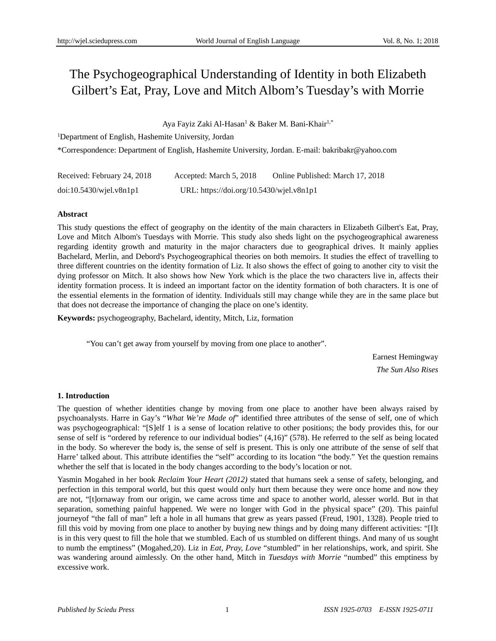# The Psychogeographical Understanding of Identity in both Elizabeth Gilbert's Eat, Pray, Love and Mitch Albom's Tuesday's with Morrie

# Aya Fayiz Zaki Al-Hasan<sup>1</sup> & Baker M. Bani-Khair<sup>1,\*</sup>

<sup>1</sup>Department of English, Hashemite University, Jordan

\*Correspondence: Department of English, Hashemite University, Jordan. E-mail: bakribakr@yahoo.com

| Received: February 24, 2018 | Accepted: March 5, 2018                  | Online Published: March 17, 2018 |
|-----------------------------|------------------------------------------|----------------------------------|
| $doi:10.5430/w$ jel.v8n1p1  | URL: https://doi.org/10.5430/wjel.v8n1p1 |                                  |

## **Abstract**

This study questions the effect of geography on the identity of the main characters in Elizabeth Gilbert's Eat, Pray, Love and Mitch Albom's Tuesdays with Morrie. This study also sheds light on the psychogeographical awareness regarding identity growth and maturity in the major characters due to geographical drives. It mainly applies Bachelard, Merlin, and Debord's Psychogeographical theories on both memoirs. It studies the effect of travelling to three different countries on the identity formation of Liz. It also shows the effect of going to another city to visit the dying professor on Mitch. It also shows how New York which is the place the two characters live in, affects their identity formation process. It is indeed an important factor on the identity formation of both characters. It is one of the essential elements in the formation of identity. Individuals still may change while they are in the same place but that does not decrease the importance of changing the place on one's identity.

**Keywords:** psychogeography, Bachelard, identity, Mitch, Liz, formation

"You can't get away from yourself by moving from one place to another".

Earnest Hemingway *The Sun Also Rises* 

# **1. Introduction**

The question of whether identities change by moving from one place to another have been always raised by psychoanalysts. Harre in Gay's "*What We're Made of*" identified three attributes of the sense of self, one of which was psychogeographical: "[S]elf 1 is a sense of location relative to other positions; the body provides this, for our sense of self is "ordered by reference to our individual bodies" (4,16)" (578). He referred to the self as being located in the body. So wherever the body is, the sense of self is present. This is only one attribute of the sense of self that Harre' talked about. This attribute identifies the "self" according to its location "the body." Yet the question remains whether the self that is located in the body changes according to the body's location or not.

Yasmin Mogahed in her book *Reclaim Your Heart (2012)* stated that humans seek a sense of safety, belonging, and perfection in this temporal world, but this quest would only hurt them because they were once home and now they are not, "[t]ornaway from our origin, we came across time and space to another world, alesser world. But in that separation, something painful happened. We were no longer with God in the physical space" (20). This painful journeyof "the fall of man" left a hole in all humans that grew as years passed (Freud, 1901, 1328). People tried to fill this void by moving from one place to another by buying new things and by doing many different activities: "[I]t is in this very quest to fill the hole that we stumbled. Each of us stumbled on different things. And many of us sought to numb the emptiness" (Mogahed,20). Liz in *Eat, Pray, Love* "stumbled" in her relationships, work, and spirit. She was wandering around aimlessly. On the other hand, Mitch in *Tuesdays with Morrie* "numbed" this emptiness by excessive work.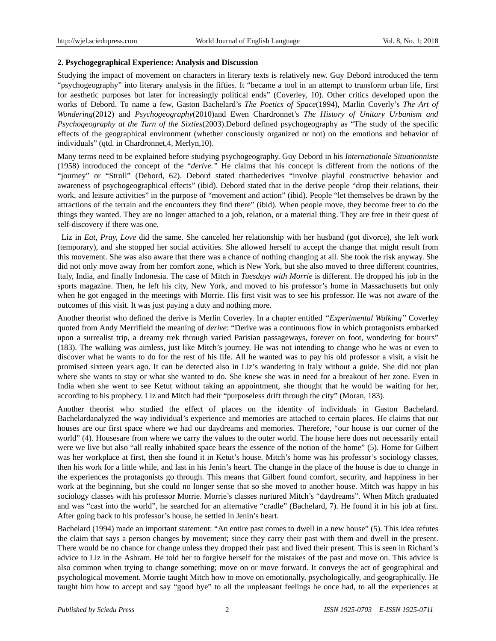### **2. Psychogegraphical Experience: Analysis and Discussion**

Studying the impact of movement on characters in literary texts is relatively new. Guy Debord introduced the term "psychogeography" into literary analysis in the fifties. It "became a tool in an attempt to transform urban life, first for aesthetic purposes but later for increasingly political ends" (Coverley, 10). Other critics developed upon the works of Debord. To name a few, Gaston Bachelard's *The Poetics of Space*(1994), Marlin Coverly's *The Art of Wondering*(2012) and *Psychogeography*(2010)and Ewen Chardronnet's *The History of Unitary Urbanism and Psychogeography at the Turn of the Sixties*(2003).Debord defined psychogeography as "The study of the specific effects of the geographical environment (whether consciously organized or not) on the emotions and behavior of individuals" (qtd. in Chardronnet,4, Merlyn,10).

Many terms need to be explained before studying psychogeography. Guy Debord in his *Internationale Situationniste*  (1958) introduced the concept of the "*derive."* He claims that his concept is different from the notions of the "journey" or "Stroll" (Debord, 62). Debord stated thatthederives "involve playful constructive behavior and awareness of psychogeographical effects" (ibid). Debord stated that in the derive people "drop their relations, their work, and leisure activities" in the purpose of "movement and action" (ibid). People "let themselves be drawn by the attractions of the terrain and the encounters they find there" (ibid). When people move, they become freer to do the things they wanted. They are no longer attached to a job, relation, or a material thing. They are free in their quest of self-discovery if there was one.

 Liz in *Eat, Pray, Love* did the same. She canceled her relationship with her husband (got divorce), she left work (temporary), and she stopped her social activities. She allowed herself to accept the change that might result from this movement. She was also aware that there was a chance of nothing changing at all. She took the risk anyway. She did not only move away from her comfort zone, which is New York, but she also moved to three different countries, Italy, India, and finally Indonesia. The case of Mitch in *Tuesdays with Morrie* is different. He dropped his job in the sports magazine. Then, he left his city, New York, and moved to his professor's home in Massachusetts but only when he got engaged in the meetings with Morrie. His first visit was to see his professor. He was not aware of the outcomes of this visit. It was just paying a duty and nothing more.

Another theorist who defined the derive is Merlin Coverley. In a chapter entitled *"Experimental Walking"* Coverley quoted from Andy Merrifield the meaning of *derive*: "Derive was a continuous flow in which protagonists embarked upon a surrealist trip, a dreamy trek through varied Parisian passageways, forever on foot, wondering for hours" (183). The walking was aimless, just like Mitch's journey. He was not intending to change who he was or even to discover what he wants to do for the rest of his life. All he wanted was to pay his old professor a visit, a visit he promised sixteen years ago. It can be detected also in Liz's wandering in Italy without a guide. She did not plan where she wants to stay or what she wanted to do. She knew she was in need for a breakout of her zone. Even in India when she went to see Ketut without taking an appointment, she thought that he would be waiting for her, according to his prophecy. Liz and Mitch had their "purposeless drift through the city" (Moran, 183).

Another theorist who studied the effect of places on the identity of individuals in Gaston Bachelard. Bachelardanalyzed the way individual's experience and memories are attached to certain places. He claims that our houses are our first space where we had our daydreams and memories. Therefore, "our house is our corner of the world" (4). Housesare from where we carry the values to the outer world. The house here does not necessarily entail were we live but also "all really inhabited space bears the essence of the notion of the home" (5). Home for Gilbert was her workplace at first, then she found it in Ketut's house. Mitch's home was his professor's sociology classes, then his work for a little while, and last in his Jenin's heart. The change in the place of the house is due to change in the experiences the protagonists go through. This means that Gilbert found comfort, security, and happiness in her work at the beginning, but she could no longer sense that so she moved to another house. Mitch was happy in his sociology classes with his professor Morrie. Morrie's classes nurtured Mitch's "daydreams". When Mitch graduated and was "cast into the world", he searched for an alternative "cradle" (Bachelard, 7). He found it in his job at first. After going back to his professor's house, he settled in Jenin's heart.

Bachelard (1994) made an important statement: "An entire past comes to dwell in a new house" (5). This idea refutes the claim that says a person changes by movement; since they carry their past with them and dwell in the present. There would be no chance for change unless they dropped their past and lived their present. This is seen in Richard's advice to Liz in the Ashram. He told her to forgive herself for the mistakes of the past and move on. This advice is also common when trying to change something; move on or move forward. It conveys the act of geographical and psychological movement. Morrie taught Mitch how to move on emotionally, psychologically, and geographically. He taught him how to accept and say "good bye" to all the unpleasant feelings he once had, to all the experiences at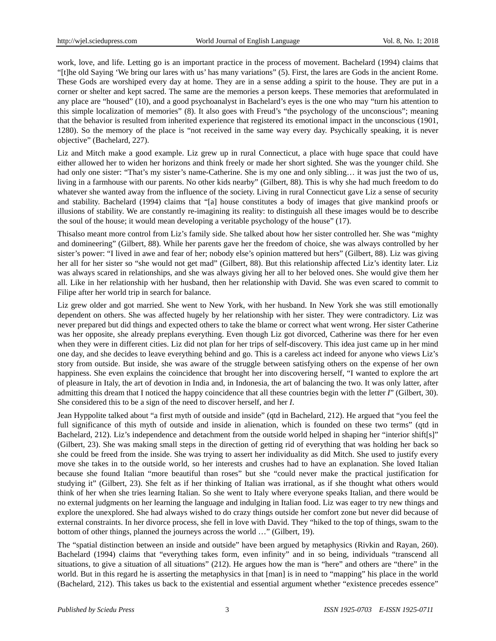work, love, and life. Letting go is an important practice in the process of movement. Bachelard (1994) claims that "[t]he old Saying 'We bring our lares with us' has many variations" (5). First, the lares are Gods in the ancient Rome. These Gods are worshiped every day at home. They are in a sense adding a spirit to the house. They are put in a corner or shelter and kept sacred. The same are the memories a person keeps. These memories that areformulated in any place are "housed" (10), and a good psychoanalyst in Bachelard's eyes is the one who may "turn his attention to this simple localization of memories" (8). It also goes with Freud's "the psychology of the unconscious"; meaning that the behavior is resulted from inherited experience that registered its emotional impact in the unconscious (1901, 1280). So the memory of the place is "not received in the same way every day. Psychically speaking, it is never objective" (Bachelard, 227).

Liz and Mitch make a good example. Liz grew up in rural Connecticut, a place with huge space that could have either allowed her to widen her horizons and think freely or made her short sighted. She was the younger child. She had only one sister: "That's my sister's name-Catherine. She is my one and only sibling... it was just the two of us, living in a farmhouse with our parents. No other kids nearby" (Gilbert, 88). This is why she had much freedom to do whatever she wanted away from the influence of the society. Living in rural Connecticut gave Liz a sense of security and stability. Bachelard (1994) claims that "[a] house constitutes a body of images that give mankind proofs or illusions of stability. We are constantly re-imagining its reality: to distinguish all these images would be to describe the soul of the house; it would mean developing a veritable psychology of the house" (17).

Thisalso meant more control from Liz's family side. She talked about how her sister controlled her. She was "mighty and domineering" (Gilbert, 88). While her parents gave her the freedom of choice, she was always controlled by her sister's power: "I lived in awe and fear of her; nobody else's opinion mattered but hers" (Gilbert, 88). Liz was giving her all for her sister so "she would not get mad" (Gilbert, 88). But this relationship affected Liz's identity later. Liz was always scared in relationships, and she was always giving her all to her beloved ones. She would give them her all. Like in her relationship with her husband, then her relationship with David. She was even scared to commit to Filipe after her world trip in search for balance.

Liz grew older and got married. She went to New York, with her husband. In New York she was still emotionally dependent on others. She was affected hugely by her relationship with her sister. They were contradictory. Liz was never prepared but did things and expected others to take the blame or correct what went wrong. Her sister Catherine was her opposite, she already preplans everything. Even though Liz got divorced, Catherine was there for her even when they were in different cities. Liz did not plan for her trips of self-discovery. This idea just came up in her mind one day, and she decides to leave everything behind and go. This is a careless act indeed for anyone who views Liz's story from outside. But inside, she was aware of the struggle between satisfying others on the expense of her own happiness. She even explains the coincidence that brought her into discovering herself, "I wanted to explore the art of pleasure in Italy, the art of devotion in India and, in Indonesia, the art of balancing the two. It was only latter, after admitting this dream that I noticed the happy coincidence that all these countries begin with the letter *I*" (Gilbert, 30). She considered this to be a sign of the need to discover herself, and her *I*.

Jean Hyppolite talked about "a first myth of outside and inside" (qtd in Bachelard, 212). He argued that "you feel the full significance of this myth of outside and inside in alienation, which is founded on these two terms" (qtd in Bachelard, 212). Liz's independence and detachment from the outside world helped in shaping her "interior shift[s]" (Gilbert, 23). She was making small steps in the direction of getting rid of everything that was holding her back so she could be freed from the inside. She was trying to assert her individuality as did Mitch. She used to justify every move she takes in to the outside world, so her interests and crushes had to have an explanation. She loved Italian because she found Italian "more beautiful than roses" but she "could never make the practical justification for studying it" (Gilbert, 23). She felt as if her thinking of Italian was irrational, as if she thought what others would think of her when she tries learning Italian. So she went to Italy where everyone speaks Italian, and there would be no external judgments on her learning the language and indulging in Italian food. Liz was eager to try new things and explore the unexplored. She had always wished to do crazy things outside her comfort zone but never did because of external constraints. In her divorce process, she fell in love with David. They "hiked to the top of things, swam to the bottom of other things, planned the journeys across the world …" (Gilbert, 19).

The "spatial distinction between an inside and outside" have been argued by metaphysics (Rivkin and Rayan, 260). Bachelard (1994) claims that "everything takes form, even infinity" and in so being, individuals "transcend all situations, to give a situation of all situations" (212). He argues how the man is "here" and others are "there" in the world. But in this regard he is asserting the metaphysics in that [man] is in need to "mapping" his place in the world (Bachelard, 212). This takes us back to the existential and essential argument whether "existence precedes essence"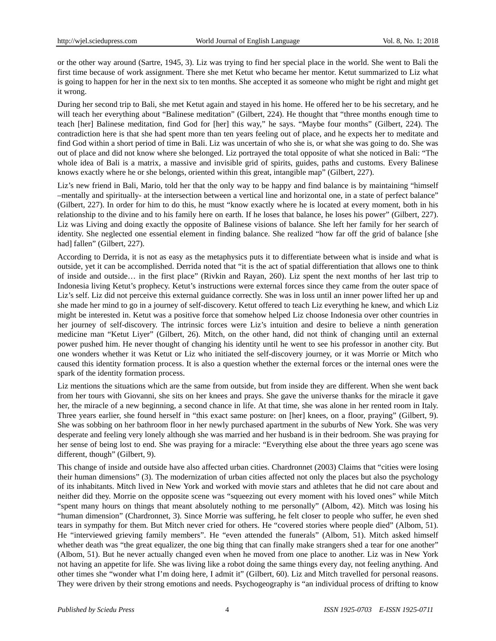or the other way around (Sartre, 1945, 3). Liz was trying to find her special place in the world. She went to Bali the first time because of work assignment. There she met Ketut who became her mentor. Ketut summarized to Liz what is going to happen for her in the next six to ten months. She accepted it as someone who might be right and might get it wrong.

During her second trip to Bali, she met Ketut again and stayed in his home. He offered her to be his secretary, and he will teach her everything about "Balinese meditation" (Gilbert, 224). He thought that "three months enough time to teach [her] Balinese meditation, find God for [her] this way," he says. "Maybe four months" (Gilbert, 224). The contradiction here is that she had spent more than ten years feeling out of place, and he expects her to meditate and find God within a short period of time in Bali. Liz was uncertain of who she is, or what she was going to do. She was out of place and did not know where she belonged. Liz portrayed the total opposite of what she noticed in Bali: "The whole idea of Bali is a matrix, a massive and invisible grid of spirits, guides, paths and customs. Every Balinese knows exactly where he or she belongs, oriented within this great, intangible map" (Gilbert, 227).

Liz's new friend in Bali, Mario, told her that the only way to be happy and find balance is by maintaining "himself –mentally and spiritually- at the intersection between a vertical line and horizontal one, in a state of perfect balance" (Gilbert, 227). In order for him to do this, he must "know exactly where he is located at every moment, both in his relationship to the divine and to his family here on earth. If he loses that balance, he loses his power" (Gilbert, 227). Liz was Living and doing exactly the opposite of Balinese visions of balance. She left her family for her search of identity. She neglected one essential element in finding balance. She realized "how far off the grid of balance [she had] fallen" (Gilbert, 227).

According to Derrida, it is not as easy as the metaphysics puts it to differentiate between what is inside and what is outside, yet it can be accomplished. Derrida noted that "it is the act of spatial differentiation that allows one to think of inside and outside… in the first place" (Rivkin and Rayan, 260). Liz spent the next months of her last trip to Indonesia living Ketut's prophecy. Ketut's instructions were external forces since they came from the outer space of Liz's self. Liz did not perceive this external guidance correctly. She was in loss until an inner power lifted her up and she made her mind to go in a journey of self-discovery. Ketut offered to teach Liz everything he knew, and which Liz might be interested in. Ketut was a positive force that somehow helped Liz choose Indonesia over other countries in her journey of self-discovery. The intrinsic forces were Liz's intuition and desire to believe a ninth generation medicine man "Ketut Liyer" (Gilbert, 26). Mitch, on the other hand, did not think of changing until an external power pushed him. He never thought of changing his identity until he went to see his professor in another city. But one wonders whether it was Ketut or Liz who initiated the self-discovery journey, or it was Morrie or Mitch who caused this identity formation process. It is also a question whether the external forces or the internal ones were the spark of the identity formation process.

Liz mentions the situations which are the same from outside, but from inside they are different. When she went back from her tours with Giovanni, she sits on her knees and prays. She gave the universe thanks for the miracle it gave her, the miracle of a new beginning, a second chance in life. At that time, she was alone in her rented room in Italy. Three years earlier, she found herself in "this exact same posture: on [her] knees, on a floor, praying" (Gilbert, 9). She was sobbing on her bathroom floor in her newly purchased apartment in the suburbs of New York. She was very desperate and feeling very lonely although she was married and her husband is in their bedroom. She was praying for her sense of being lost to end. She was praying for a miracle: "Everything else about the three years ago scene was different, though" (Gilbert, 9).

This change of inside and outside have also affected urban cities. Chardronnet (2003) Claims that "cities were losing their human dimensions" (3). The modernization of urban cities affected not only the places but also the psychology of its inhabitants. Mitch lived in New York and worked with movie stars and athletes that he did not care about and neither did they. Morrie on the opposite scene was "squeezing out every moment with his loved ones" while Mitch "spent many hours on things that meant absolutely nothing to me personally" (Albom, 42). Mitch was losing his "human dimension" (Chardronnet, 3). Since Morrie was suffering, he felt closer to people who suffer, he even shed tears in sympathy for them. But Mitch never cried for others. He "covered stories where people died" (Albom, 51). He "interviewed grieving family members". He "even attended the funerals" (Albom, 51). Mitch asked himself whether death was "the great equalizer, the one big thing that can finally make strangers shed a tear for one another" (Albom, 51). But he never actually changed even when he moved from one place to another. Liz was in New York not having an appetite for life. She was living like a robot doing the same things every day, not feeling anything. And other times she "wonder what I'm doing here, I admit it" (Gilbert, 60). Liz and Mitch travelled for personal reasons. They were driven by their strong emotions and needs. Psychogeography is "an individual process of drifting to know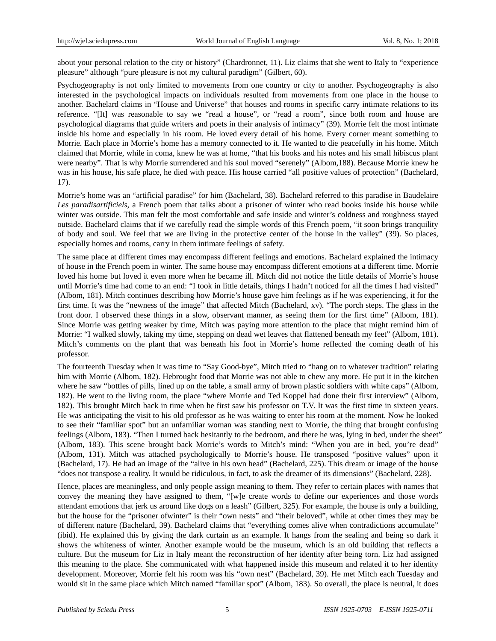about your personal relation to the city or history" (Chardronnet, 11). Liz claims that she went to Italy to "experience pleasure" although "pure pleasure is not my cultural paradigm" (Gilbert, 60).

Psychogeography is not only limited to movements from one country or city to another. Psychogeography is also interested in the psychological impacts on individuals resulted from movements from one place in the house to another. Bachelard claims in "House and Universe" that houses and rooms in specific carry intimate relations to its reference. "[It] was reasonable to say we "read a house", or "read a room", since both room and house are psychological diagrams that guide writers and poets in their analysis of intimacy" (39). Morrie felt the most intimate inside his home and especially in his room. He loved every detail of his home. Every corner meant something to Morrie. Each place in Morrie's home has a memory connected to it. He wanted to die peacefully in his home. Mitch claimed that Morrie, while in coma, knew he was at home, "that his books and his notes and his small hibiscus plant were nearby". That is why Morrie surrendered and his soul moved "serenely" (Albom,188). Because Morrie knew he was in his house, his safe place, he died with peace. His house carried "all positive values of protection" (Bachelard, 17).

Morrie's home was an "artificial paradise" for him (Bachelard, 38). Bachelard referred to this paradise in Baudelaire *Les paradisartificiels*, a French poem that talks about a prisoner of winter who read books inside his house while winter was outside. This man felt the most comfortable and safe inside and winter's coldness and roughness stayed outside. Bachelard claims that if we carefully read the simple words of this French poem, "it soon brings tranquility of body and soul. We feel that we are living in the protective center of the house in the valley" (39). So places, especially homes and rooms, carry in them intimate feelings of safety.

The same place at different times may encompass different feelings and emotions. Bachelard explained the intimacy of house in the French poem in winter. The same house may encompass different emotions at a different time. Morrie loved his home but loved it even more when he became ill. Mitch did not notice the little details of Morrie's house until Morrie's time had come to an end: "I took in little details, things I hadn't noticed for all the times I had visited" (Albom, 181). Mitch continues describing how Morrie's house gave him feelings as if he was experiencing, it for the first time. It was the "newness of the image" that affected Mitch (Bachelard, xv). "The porch steps. The glass in the front door. I observed these things in a slow, observant manner, as seeing them for the first time" (Albom, 181). Since Morrie was getting weaker by time, Mitch was paying more attention to the place that might remind him of Morrie: "I walked slowly, taking my time, stepping on dead wet leaves that flattened beneath my feet" (Albom, 181). Mitch's comments on the plant that was beneath his foot in Morrie's home reflected the coming death of his professor.

The fourteenth Tuesday when it was time to "Say Good-bye", Mitch tried to "hang on to whatever tradition" relating him with Morrie (Albom, 182). Hebrought food that Morrie was not able to chew any more. He put it in the kitchen where he saw "bottles of pills, lined up on the table, a small army of brown plastic soldiers with white caps" (Albom, 182). He went to the living room, the place "where Morrie and Ted Koppel had done their first interview" (Albom, 182). This brought Mitch back in time when he first saw his professor on T.V. It was the first time in sixteen years. He was anticipating the visit to his old professor as he was waiting to enter his room at the moment. Now he looked to see their "familiar spot" but an unfamiliar woman was standing next to Morrie, the thing that brought confusing feelings (Albom, 183). "Then I turned back hesitantly to the bedroom, and there he was, lying in bed, under the sheet" (Albom, 183). This scene brought back Morrie's words to Mitch's mind: "When you are in bed, you're dead" (Albom, 131). Mitch was attached psychologically to Morrie's house. He transposed "positive values" upon it (Bachelard, 17). He had an image of the "alive in his own head" (Bachelard, 225). This dream or image of the house "does not transpose a reality. It would be ridiculous, in fact, to ask the dreamer of its dimensions" (Bachelard, 228).

Hence, places are meaningless, and only people assign meaning to them. They refer to certain places with names that convey the meaning they have assigned to them, "[w]e create words to define our experiences and those words attendant emotions that jerk us around like dogs on a leash" (Gilbert, 325). For example, the house is only a building, but the house for the "prisoner ofwinter" is their "own nests" and "their beloved", while at other times they may be of different nature (Bachelard, 39). Bachelard claims that "everything comes alive when contradictions accumulate" (ibid). He explained this by giving the dark curtain as an example. It hangs from the sealing and being so dark it shows the whiteness of winter. Another example would be the museum, which is an old building that reflects a culture. But the museum for Liz in Italy meant the reconstruction of her identity after being torn. Liz had assigned this meaning to the place. She communicated with what happened inside this museum and related it to her identity development. Moreover, Morrie felt his room was his "own nest" (Bachelard, 39). He met Mitch each Tuesday and would sit in the same place which Mitch named "familiar spot" (Albom, 183). So overall, the place is neutral, it does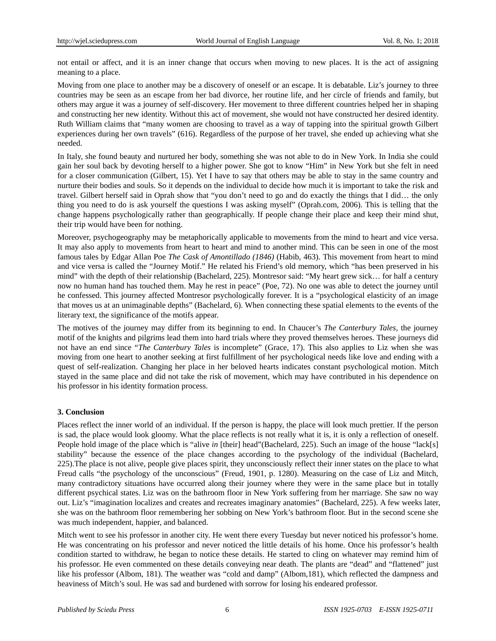not entail or affect, and it is an inner change that occurs when moving to new places. It is the act of assigning meaning to a place.

Moving from one place to another may be a discovery of oneself or an escape. It is debatable. Liz's journey to three countries may be seen as an escape from her bad divorce, her routine life, and her circle of friends and family, but others may argue it was a journey of self-discovery. Her movement to three different countries helped her in shaping and constructing her new identity. Without this act of movement, she would not have constructed her desired identity. Ruth William claims that "many women are choosing to travel as a way of tapping into the spiritual growth Gilbert experiences during her own travels" (616). Regardless of the purpose of her travel, she ended up achieving what she needed.

In Italy, she found beauty and nurtured her body, something she was not able to do in New York. In India she could gain her soul back by devoting herself to a higher power. She got to know "Him" in New York but she felt in need for a closer communication (Gilbert, 15). Yet I have to say that others may be able to stay in the same country and nurture their bodies and souls. So it depends on the individual to decide how much it is important to take the risk and travel. Gilbert herself said in Oprah show that "you don't need to go and do exactly the things that I did… the only thing you need to do is ask yourself the questions I was asking myself" (Oprah.com, 2006). This is telling that the change happens psychologically rather than geographically. If people change their place and keep their mind shut, their trip would have been for nothing.

Moreover, psychogeography may be metaphorically applicable to movements from the mind to heart and vice versa. It may also apply to movements from heart to heart and mind to another mind. This can be seen in one of the most famous tales by Edgar Allan Poe *The Cask of Amontillado (1846)* (Habib, 463). This movement from heart to mind and vice versa is called the "Journey Motif." He related his Friend's old memory, which "has been preserved in his mind" with the depth of their relationship (Bachelard, 225). Montresor said: "My heart grew sick… for half a century now no human hand has touched them. May he rest in peace" (Poe, 72). No one was able to detect the journey until he confessed. This journey affected Montresor psychologically forever. It is a "psychological elasticity of an image that moves us at an unimaginable depths" (Bachelard, 6). When connecting these spatial elements to the events of the literary text, the significance of the motifs appear.

The motives of the journey may differ from its beginning to end. In Chaucer's *The Canterbury Tales,* the journey motif of the knights and pilgrims lead them into hard trials where they proved themselves heroes. These journeys did not have an end since "*The Canterbury Tales* is incomplete" (Grace, 17). This also applies to Liz when she was moving from one heart to another seeking at first fulfillment of her psychological needs like love and ending with a quest of self-realization. Changing her place in her beloved hearts indicates constant psychological motion. Mitch stayed in the same place and did not take the risk of movement, which may have contributed in his dependence on his professor in his identity formation process.

#### **3. Conclusion**

Places reflect the inner world of an individual. If the person is happy, the place will look much prettier. If the person is sad, the place would look gloomy. What the place reflects is not really what it is, it is only a reflection of oneself. People hold image of the place which is "alive *in* [their] head"(Bachelard, 225). Such an image of the house "lack[s] stability" because the essence of the place changes according to the psychology of the individual (Bachelard, 225).The place is not alive, people give places spirit, they unconsciously reflect their inner states on the place to what Freud calls "the psychology of the unconscious" (Freud, 1901, p. 1280). Measuring on the case of Liz and Mitch, many contradictory situations have occurred along their journey where they were in the same place but in totally different psychical states. Liz was on the bathroom floor in New York suffering from her marriage. She saw no way out. Liz's "imagination localizes and creates and recreates imaginary anatomies" (Bachelard, 225). A few weeks later, she was on the bathroom floor remembering her sobbing on New York's bathroom floor. But in the second scene she was much independent, happier, and balanced.

Mitch went to see his professor in another city. He went there every Tuesday but never noticed his professor's home. He was concentrating on his professor and never noticed the little details of his home. Once his professor's health condition started to withdraw, he began to notice these details. He started to cling on whatever may remind him of his professor. He even commented on these details conveying near death. The plants are "dead" and "flattened" just like his professor (Albom, 181). The weather was "cold and damp" (Albom,181), which reflected the dampness and heaviness of Mitch's soul. He was sad and burdened with sorrow for losing his endeared professor.